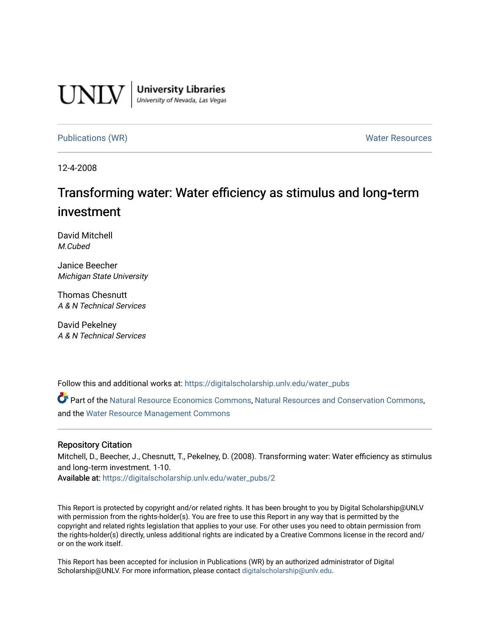

**University Libraries**<br>University of Nevada, Las Vegas

[Publications \(WR\)](https://digitalscholarship.unlv.edu/water_pubs) Noter Resources

12-4-2008

### Transforming water: Water efficiency as stimulus and long-term investment

David Mitchell M.Cubed

Janice Beecher Michigan State University

Thomas Chesnutt A & N Technical Services

David Pekelney A & N Technical Services

Follow this and additional works at: [https://digitalscholarship.unlv.edu/water\\_pubs](https://digitalscholarship.unlv.edu/water_pubs?utm_source=digitalscholarship.unlv.edu%2Fwater_pubs%2F2&utm_medium=PDF&utm_campaign=PDFCoverPages) 

Part of the [Natural Resource Economics Commons](http://network.bepress.com/hgg/discipline/169?utm_source=digitalscholarship.unlv.edu%2Fwater_pubs%2F2&utm_medium=PDF&utm_campaign=PDFCoverPages), [Natural Resources and Conservation Commons](http://network.bepress.com/hgg/discipline/168?utm_source=digitalscholarship.unlv.edu%2Fwater_pubs%2F2&utm_medium=PDF&utm_campaign=PDFCoverPages), and the [Water Resource Management Commons](http://network.bepress.com/hgg/discipline/1057?utm_source=digitalscholarship.unlv.edu%2Fwater_pubs%2F2&utm_medium=PDF&utm_campaign=PDFCoverPages) 

#### Repository Citation

Mitchell, D., Beecher, J., Chesnutt, T., Pekelney, D. (2008). Transforming water: Water efficiency as stimulus and long‐term investment. 1-10.

Available at: [https://digitalscholarship.unlv.edu/water\\_pubs/2](https://digitalscholarship.unlv.edu/water_pubs/2) 

This Report is protected by copyright and/or related rights. It has been brought to you by Digital Scholarship@UNLV with permission from the rights-holder(s). You are free to use this Report in any way that is permitted by the copyright and related rights legislation that applies to your use. For other uses you need to obtain permission from the rights-holder(s) directly, unless additional rights are indicated by a Creative Commons license in the record and/ or on the work itself.

This Report has been accepted for inclusion in Publications (WR) by an authorized administrator of Digital Scholarship@UNLV. For more information, please contact [digitalscholarship@unlv.edu.](mailto:digitalscholarship@unlv.edu)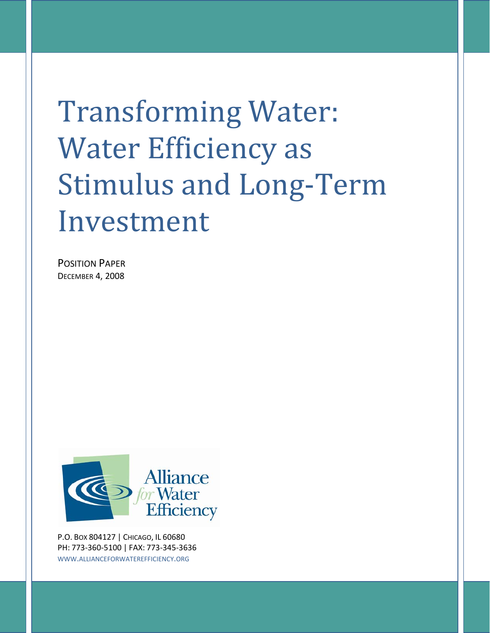# Transforming Water: Water Efficiency as Stimulus and Long‐Term Investment

POSITION PAPER DECEMBER 4, 2008



P.O. BOX 804127 | CHICAGO, IL 60680 PH: 773‐360‐5100 | FAX: 773‐345‐3636 WWW.ALLIANCEFORWATEREFFICIENCY.ORG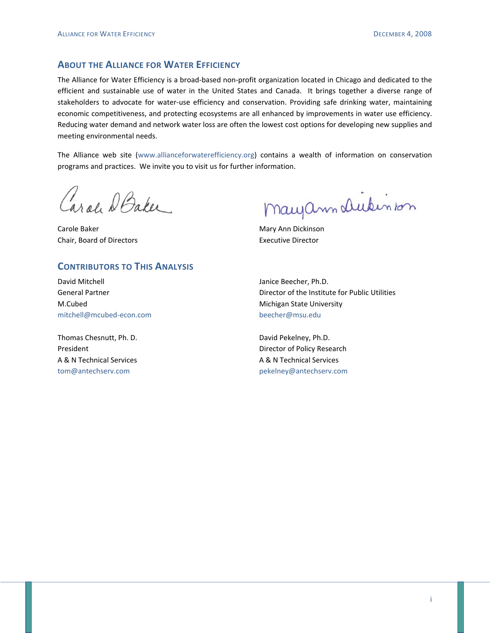#### **ABOUT THE ALLIANCE FOR WATER EFFICIENCY**

The Alliance for Water Efficiency is a broad‐based non‐profit organization located in Chicago and dedicated to the efficient and sustainable use of water in the United States and Canada. It brings together a diverse range of stakeholders to advocate for water-use efficiency and conservation. Providing safe drinking water, maintaining economic competitiveness, and protecting ecosystems are all enhanced by improvements in water use efficiency. Reducing water demand and network water loss are often the lowest cost options for developing new supplies and meeting environmental needs.

The Alliance web site (www.allianceforwaterefficiency.org) contains a wealth of information on conservation programs and practices. We invite you to visit us for further information.

Carole D Baker

Carole Baker Chair, Board of Directors

#### **CONTRIBUTORS TO THIS ANALYSIS**

David Mitchell General Partner M.Cubed mitchell@mcubed‐econ.com

Thomas Chesnutt, Ph. D. President A & N Technical Services tom@antechserv.com

Maugann Dukinson

Mary Ann Dickinson Executive Director

Janice Beecher, Ph.D. Director of the Institute for Public Utilities Michigan State University beecher@msu.edu

David Pekelney, Ph.D. Director of Policy Research A & N Technical Services pekelney@antechserv.com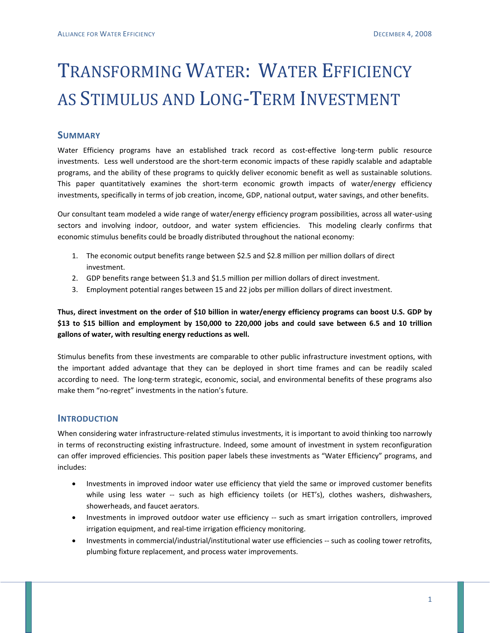## TRANSFORMING WATER: WATER EFFICIENCY AS STIMULUS AND LONG‐TERM INVESTMENT

#### **SUMMARY**

Water Efficiency programs have an established track record as cost-effective long-term public resource investments. Less well understood are the short‐term economic impacts of these rapidly scalable and adaptable programs, and the ability of these programs to quickly deliver economic benefit as well as sustainable solutions. This paper quantitatively examines the short‐term economic growth impacts of water/energy efficiency investments, specifically in terms of job creation, income, GDP, national output, water savings, and other benefits.

Our consultant team modeled a wide range of water/energy efficiency program possibilities, across all water‐using sectors and involving indoor, outdoor, and water system efficiencies. This modeling clearly confirms that economic stimulus benefits could be broadly distributed throughout the national economy:

- 1. The economic output benefits range between \$2.5 and \$2.8 million per million dollars of direct investment.
- 2. GDP benefits range between \$1.3 and \$1.5 million per million dollars of direct investment.
- 3. Employment potential ranges between 15 and 22 jobs per million dollars of direct investment.

Thus, direct investment on the order of \$10 billion in water/energy efficiency programs can boost U.S. GDP by \$13 to \$15 billion and employment by 150,000 to 220,000 jobs and could save between 6.5 and 10 trillion **gallons of water, with resulting energy reductions as well.**

Stimulus benefits from these investments are comparable to other public infrastructure investment options, with the important added advantage that they can be deployed in short time frames and can be readily scaled according to need. The long‐term strategic, economic, social, and environmental benefits of these programs also make them "no-regret" investments in the nation's future.

#### **INTRODUCTION**

When considering water infrastructure-related stimulus investments, it is important to avoid thinking too narrowly in terms of reconstructing existing infrastructure. Indeed, some amount of investment in system reconfiguration can offer improved efficiencies. This position paper labels these investments as "Water Efficiency" programs, and includes:

- Investments in improved indoor water use efficiency that yield the same or improved customer benefits while using less water -- such as high efficiency toilets (or HET's), clothes washers, dishwashers, showerheads, and faucet aerators.
- Investments in improved outdoor water use efficiency -- such as smart irrigation controllers, improved irrigation equipment, and real-time irrigation efficiency monitoring.
- Investments in commercial/industrial/institutional water use efficiencies -- such as cooling tower retrofits, plumbing fixture replacement, and process water improvements.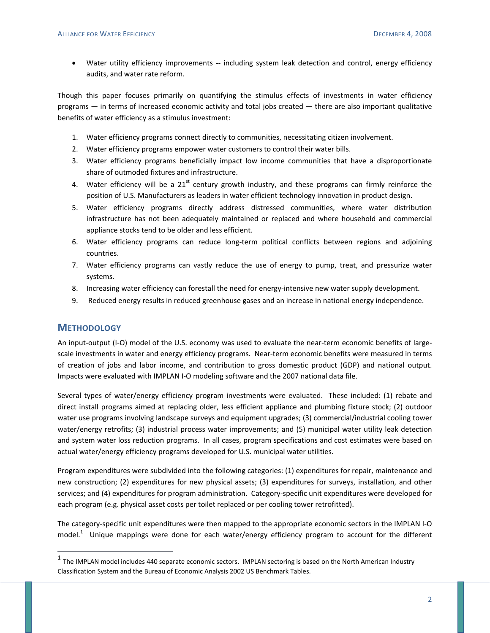• Water utility efficiency improvements -- including system leak detection and control, energy efficiency audits, and water rate reform.

Though this paper focuses primarily on quantifying the stimulus effects of investments in water efficiency programs — in terms of increased economic activity and total jobs created — there are also important qualitative benefits of water efficiency as a stimulus investment:

- 1. Water efficiency programs connect directly to communities, necessitating citizen involvement.
- 2. Water efficiency programs empower water customers to control their water bills.
- 3. Water efficiency programs beneficially impact low income communities that have a disproportionate share of outmoded fixtures and infrastructure.
- 4. Water efficiency will be a  $21^{st}$  century growth industry, and these programs can firmly reinforce the position of U.S. Manufacturers as leaders in water efficient technology innovation in product design.
- 5. Water efficiency programs directly address distressed communities, where water distribution infrastructure has not been adequately maintained or replaced and where household and commercial appliance stocks tend to be older and less efficient.
- 6. Water efficiency programs can reduce long‐term political conflicts between regions and adjoining countries.
- 7. Water efficiency programs can vastly reduce the use of energy to pump, treat, and pressurize water systems.
- 8. Increasing water efficiency can forestall the need for energy-intensive new water supply development.
- 9. Reduced energy results in reduced greenhouse gases and an increase in national energy independence.

#### **METHODOLOGY**

 $\overline{a}$ 

An input-output (I-O) model of the U.S. economy was used to evaluate the near-term economic benefits of largescale investments in water and energy efficiency programs. Near‐term economic benefits were measured in terms of creation of jobs and labor income, and contribution to gross domestic product (GDP) and national output. Impacts were evaluated with IMPLAN I‐O modeling software and the 2007 national data file.

Several types of water/energy efficiency program investments were evaluated. These included: (1) rebate and direct install programs aimed at replacing older, less efficient appliance and plumbing fixture stock; (2) outdoor water use programs involving landscape surveys and equipment upgrades; (3) commercial/industrial cooling tower water/energy retrofits; (3) industrial process water improvements; and (5) municipal water utility leak detection and system water loss reduction programs. In all cases, program specifications and cost estimates were based on actual water/energy efficiency programs developed for U.S. municipal water utilities.

Program expenditures were subdivided into the following categories: (1) expenditures for repair, maintenance and new construction; (2) expenditures for new physical assets; (3) expenditures for surveys, installation, and other services; and (4) expenditures for program administration. Category‐specific unit expenditures were developed for each program (e.g. physical asset costs per toilet replaced or per cooling tower retrofitted).

The category‐specific unit expenditures were then mapped to the appropriate economic sectors in the IMPLAN I‐O model.<sup>1</sup> Unique mappings were done for each water/energy efficiency program to account for the different

 $1$  The IMPLAN model includes 440 separate economic sectors. IMPLAN sectoring is based on the North American Industry Classification System and the Bureau of Economic Analysis 2002 US Benchmark Tables.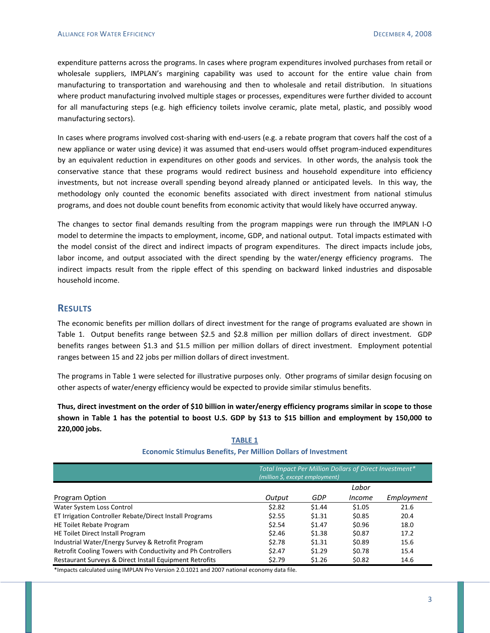expenditure patterns across the programs. In cases where program expenditures involved purchases from retail or wholesale suppliers, IMPLAN's margining capability was used to account for the entire value chain from manufacturing to transportation and warehousing and then to wholesale and retail distribution. In situations where product manufacturing involved multiple stages or processes, expenditures were further divided to account for all manufacturing steps (e.g. high efficiency toilets involve ceramic, plate metal, plastic, and possibly wood manufacturing sectors).

In cases where programs involved cost-sharing with end-users (e.g. a rebate program that covers half the cost of a new appliance or water using device) it was assumed that end‐users would offset program‐induced expenditures by an equivalent reduction in expenditures on other goods and services. In other words, the analysis took the conservative stance that these programs would redirect business and household expenditure into efficiency investments, but not increase overall spending beyond already planned or anticipated levels. In this way, the methodology only counted the economic benefits associated with direct investment from national stimulus programs, and does not double count benefits from economic activity that would likely have occurred anyway.

The changes to sector final demands resulting from the program mappings were run through the IMPLAN I‐O model to determine the impacts to employment, income, GDP, and national output. Total impacts estimated with the model consist of the direct and indirect impacts of program expenditures. The direct impacts include jobs, labor income, and output associated with the direct spending by the water/energy efficiency programs. The indirect impacts result from the ripple effect of this spending on backward linked industries and disposable household income.

#### **RESULTS**

The economic benefits per million dollars of direct investment for the range of programs evaluated are shown in Table 1. Output benefits range between \$2.5 and \$2.8 million per million dollars of direct investment. GDP benefits ranges between \$1.3 and \$1.5 million per million dollars of direct investment. Employment potential ranges between 15 and 22 jobs per million dollars of direct investment.

The programs in Table 1 were selected for illustrative purposes only. Other programs of similar design focusing on other aspects of water/energy efficiency would be expected to provide similar stimulus benefits.

Thus, direct investment on the order of \$10 billion in water/energy efficiency programs similar in scope to those shown in Table 1 has the potential to boost U.S. GDP by \$13 to \$15 billion and employment by 150,000 to **220,000 jobs.**

| Total Impact Per Million Dollars of Direct Investment*<br>(million \$, except employment) |        |        |            |
|-------------------------------------------------------------------------------------------|--------|--------|------------|
|                                                                                           |        | Labor  |            |
| Output                                                                                    | GDP    | Income | Employment |
| \$2.82                                                                                    | \$1.44 | \$1.05 | 21.6       |
| \$2.55                                                                                    | \$1.31 | \$0.85 | 20.4       |
| \$2.54                                                                                    | \$1.47 | \$0.96 | 18.0       |
| \$2.46                                                                                    | \$1.38 | \$0.87 | 17.2       |
| \$2.78                                                                                    | \$1.31 | \$0.89 | 15.6       |
| \$2.47                                                                                    | \$1.29 | \$0.78 | 15.4       |
| \$2.79                                                                                    | \$1.26 | \$0.82 | 14.6       |
|                                                                                           |        |        |            |

#### **TABLE 1**

#### **Economic Stimulus Benefits, Per Million Dollars of Investment**

\*Impacts calculated using IMPLAN Pro Version 2.0.1021 and 2007 national economy data file.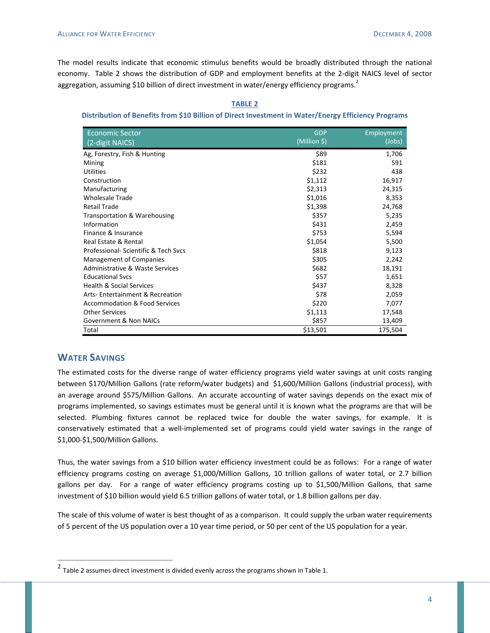The model results indicate that economic stimulus benefits would be broadly distributed through the national economy. Table 2 shows the distribution of GDP and employment benefits at the 2‐digit NAICS level of sector aggregation, assuming \$10 billion of direct investment in water/energy efficiency programs.<sup>2</sup>

| <b>Economic Sector</b><br>(2-digit NAICS) | <b>GDP</b><br>(Million \$) | <b>Employment</b><br>(Jobs) |
|-------------------------------------------|----------------------------|-----------------------------|
|                                           |                            |                             |
| Ag, Forestry, Fish & Hunting              | \$89                       | 1,706                       |
| Mining                                    | \$181                      | 591                         |
| Utilities                                 | \$232                      | 438                         |
| Construction                              | \$1,112                    | 16,917                      |
| Manufacturing                             | \$2,313                    | 24,315                      |
| <b>Wholesale Trade</b>                    | \$1,016                    | 8,353                       |
| <b>Retail Trade</b>                       | \$1,398                    | 24,768                      |
| Transportation & Warehousing              | \$357                      | 5,235                       |
| Information                               | \$431                      | 2,459                       |
| Finance & Insurance                       | \$753                      | 5,594                       |
| Real Estate & Rental                      | \$1,054                    | 5,500                       |
| Professional- Scientific & Tech Sycs      | \$818                      | 9,123                       |
| <b>Management of Companies</b>            | \$305                      | 2,242                       |
| Administrative & Waste Services           | \$682                      | 18,191                      |
| <b>Educational Sycs</b>                   | \$57                       | 1,651                       |
| <b>Health &amp; Social Services</b>       | \$437                      | 8,328                       |
| Arts-Entertainment & Recreation           | \$78                       | 2,059                       |
| Accommodation & Food Services             | \$220                      | 7,077                       |
| <b>Other Services</b>                     | \$1,113                    | 17,548                      |
| <b>Government &amp; Non NAICs</b>         | \$857                      | 13,409                      |
| Total                                     | \$13,501                   | 175,504                     |

#### **TABLE 2**

#### **Distribution of Benefits from \$10 Billion of Direct Investment in Water/Energy Efficiency Programs**

#### **WATER SAVINGS**

-

The estimated costs for the diverse range of water efficiency programs yield water savings at unit costs ranging between \$170/Million Gallons (rate reform/water budgets) and \$1,600/Million Gallons (industrial process), with an average around \$575/Million Gallons. An accurate accounting of water savings depends on the exact mix of programs implemented, so savings estimates must be general until it is known what the programs are that will be selected. Plumbing fixtures cannot be replaced twice for double the water savings, for example. It is conservatively estimated that a well-implemented set of programs could yield water savings in the range of \$1,000‐\$1,500/Million Gallons.

Thus, the water savings from a \$10 billion water efficiency investment could be as follows: For a range of water efficiency programs costing on average \$1,000/Million Gallons, 10 trillion gallons of water total, or 2.7 billion gallons per day. For a range of water efficiency programs costing up to \$1,500/Million Gallons, that same investment of \$10 billion would yield 6.5 trillion gallons of water total, or 1.8 billion gallons per day.

The scale of this volume of water is best thought of as a comparison. It could supply the urban water requirements of 5 percent of the US population over a 10 year time period, or 50 per cent of the US population for a year.

 $^2$  Table 2 assumes direct investment is divided evenly across the programs shown in Table 1.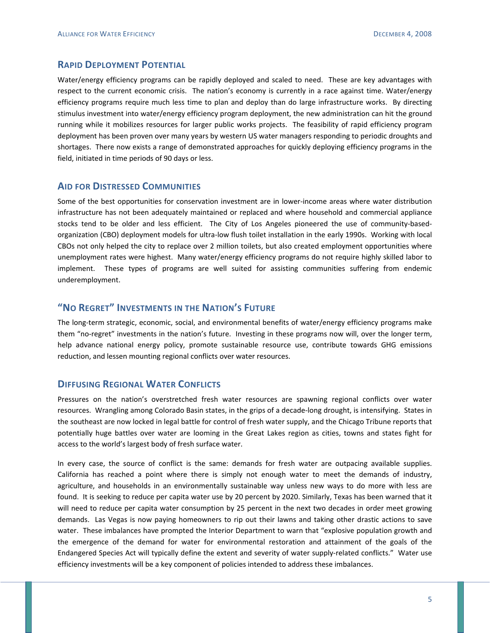#### **RAPID DEPLOYMENT POTENTIAL**

Water/energy efficiency programs can be rapidly deployed and scaled to need. These are key advantages with respect to the current economic crisis. The nation's economy is currently in a race against time. Water/energy efficiency programs require much less time to plan and deploy than do large infrastructure works. By directing stimulus investment into water/energy efficiency program deployment, the new administration can hit the ground running while it mobilizes resources for larger public works projects. The feasibility of rapid efficiency program deployment has been proven over many years by western US water managers responding to periodic droughts and shortages. There now exists a range of demonstrated approaches for quickly deploying efficiency programs in the field, initiated in time periods of 90 days or less.

#### **AID FOR DISTRESSED COMMUNITIES**

Some of the best opportunities for conservation investment are in lower-income areas where water distribution infrastructure has not been adequately maintained or replaced and where household and commercial appliance stocks tend to be older and less efficient. The City of Los Angeles pioneered the use of community-basedorganization (CBO) deployment models for ultra‐low flush toilet installation in the early 1990s. Working with local CBOs not only helped the city to replace over 2 million toilets, but also created employment opportunities where unemployment rates were highest. Many water/energy efficiency programs do not require highly skilled labor to implement. These types of programs are well suited for assisting communities suffering from endemic underemployment.

#### **"NO REGRET" INVESTMENTS IN THE NATION'S FUTURE**

The long‐term strategic, economic, social, and environmental benefits of water/energy efficiency programs make them "no-regret" investments in the nation's future. Investing in these programs now will, over the longer term, help advance national energy policy, promote sustainable resource use, contribute towards GHG emissions reduction, and lessen mounting regional conflicts over water resources.

#### **DIFFUSING REGIONAL WATER CONFLICTS**

Pressures on the nation's overstretched fresh water resources are spawning regional conflicts over water resources. Wrangling among Colorado Basin states, in the grips of a decade‐long drought, is intensifying. States in the southeast are now locked in legal battle for control of fresh water supply, and the Chicago Tribune reports that potentially huge battles over water are looming in the Great Lakes region as cities, towns and states fight for access to the world's largest body of fresh surface water.

In every case, the source of conflict is the same: demands for fresh water are outpacing available supplies. California has reached a point where there is simply not enough water to meet the demands of industry, agriculture, and households in an environmentally sustainable way unless new ways to do more with less are found. It is seeking to reduce per capita water use by 20 percent by 2020. Similarly, Texas has been warned that it will need to reduce per capita water consumption by 25 percent in the next two decades in order meet growing demands. Las Vegas is now paying homeowners to rip out their lawns and taking other drastic actions to save water. These imbalances have prompted the Interior Department to warn that "explosive population growth and the emergence of the demand for water for environmental restoration and attainment of the goals of the Endangered Species Act will typically define the extent and severity of water supply-related conflicts." Water use efficiency investments will be a key component of policies intended to address these imbalances.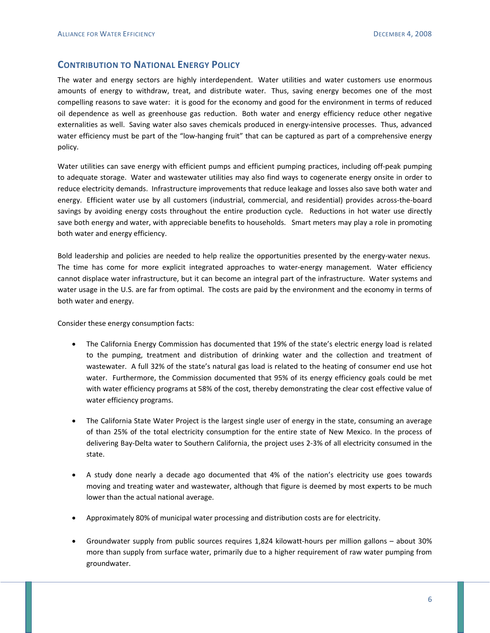#### **CONTRIBUTION TO NATIONAL ENERGY POLICY**

The water and energy sectors are highly interdependent. Water utilities and water customers use enormous amounts of energy to withdraw, treat, and distribute water. Thus, saving energy becomes one of the most compelling reasons to save water: it is good for the economy and good for the environment in terms of reduced oil dependence as well as greenhouse gas reduction. Both water and energy efficiency reduce other negative externalities as well. Saving water also saves chemicals produced in energy-intensive processes. Thus, advanced water efficiency must be part of the "low-hanging fruit" that can be captured as part of a comprehensive energy policy.

Water utilities can save energy with efficient pumps and efficient pumping practices, including off-peak pumping to adequate storage. Water and wastewater utilities may also find ways to cogenerate energy onsite in order to reduce electricity demands. Infrastructure improvements that reduce leakage and losses also save both water and energy. Efficient water use by all customers (industrial, commercial, and residential) provides across‐the‐board savings by avoiding energy costs throughout the entire production cycle. Reductions in hot water use directly save both energy and water, with appreciable benefits to households. Smart meters may play a role in promoting both water and energy efficiency.

Bold leadership and policies are needed to help realize the opportunities presented by the energy‐water nexus. The time has come for more explicit integrated approaches to water-energy management. Water efficiency cannot displace water infrastructure, but it can become an integral part of the infrastructure. Water systems and water usage in the U.S. are far from optimal. The costs are paid by the environment and the economy in terms of both water and energy.

Consider these energy consumption facts:

- The California Energy Commission has documented that 19% of the state's electric energy load is related to the pumping, treatment and distribution of drinking water and the collection and treatment of wastewater. A full 32% of the state's natural gas load is related to the heating of consumer end use hot water. Furthermore, the Commission documented that 95% of its energy efficiency goals could be met with water efficiency programs at 58% of the cost, thereby demonstrating the clear cost effective value of water efficiency programs.
- The California State Water Project is the largest single user of energy in the state, consuming an average of than 25% of the total electricity consumption for the entire state of New Mexico. In the process of delivering Bay‐Delta water to Southern California, the project uses 2‐3% of all electricity consumed in the state.
- A study done nearly a decade ago documented that 4% of the nation's electricity use goes towards moving and treating water and wastewater, although that figure is deemed by most experts to be much lower than the actual national average.
- Approximately 80% of municipal water processing and distribution costs are for electricity.
- Groundwater supply from public sources requires 1,824 kilowatt‐hours per million gallons about 30% more than supply from surface water, primarily due to a higher requirement of raw water pumping from groundwater.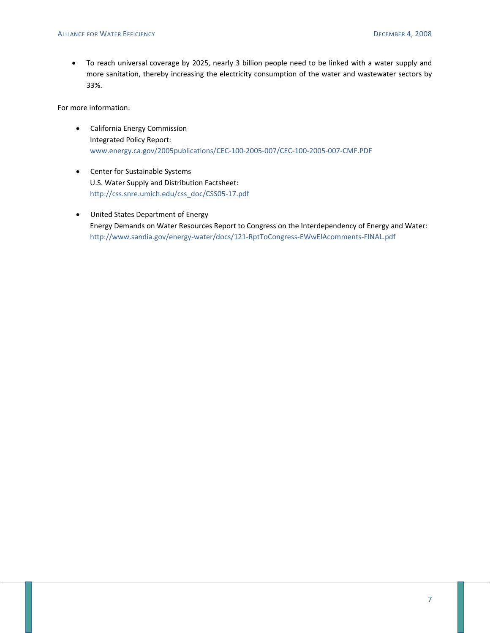• To reach universal coverage by 2025, nearly 3 billion people need to be linked with a water supply and more sanitation, thereby increasing the electricity consumption of the water and wastewater sectors by 33%.

For more information:

- California Energy Commission Integrated Policy Report: www.energy.ca.gov/2005publications/CEC‐100‐2005‐007/CEC‐100‐2005‐007‐CMF.PDF
- Center for Sustainable Systems U.S. Water Supply and Distribution Factsheet: http://css.snre.umich.edu/css\_doc/CSS05‐17.pdf
- United States Department of Energy Energy Demands on Water Resources Report to Congress on the Interdependency of Energy and Water: http://www.sandia.gov/energy‐water/docs/121‐RptToCongress‐EWwEIAcomments‐FINAL.pdf